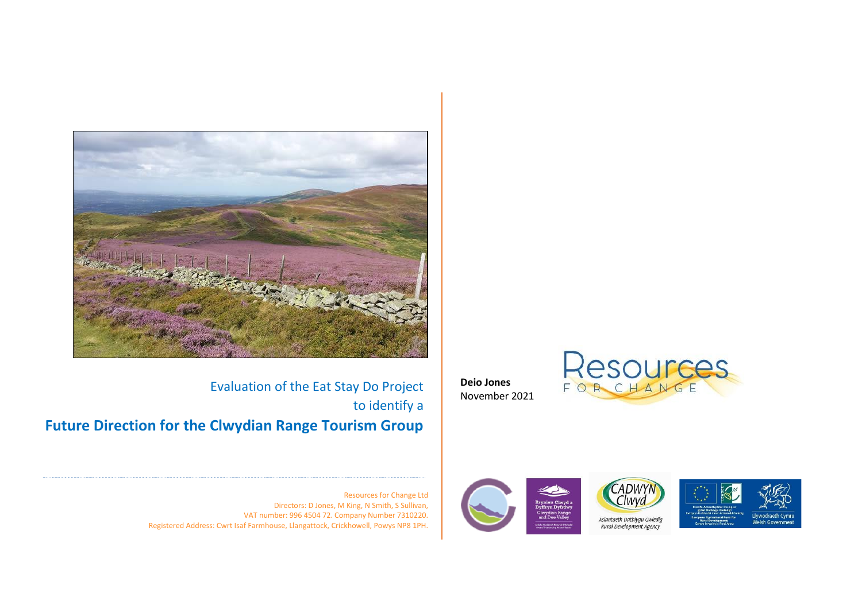

Evaluation of the Eat Stay Do Project to identify a **Future Direction for the Clwydian Range Tourism Group** **Deio Jones** November 2021





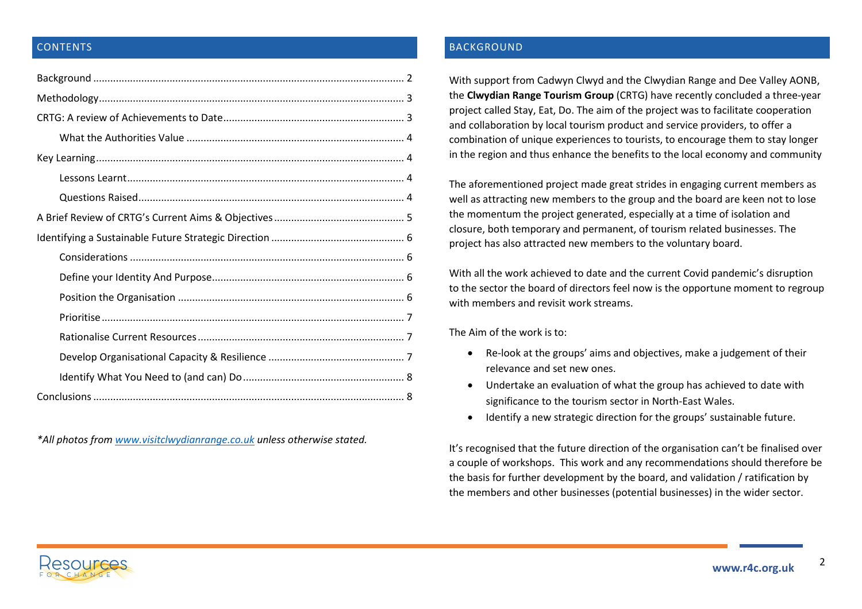# **CONTENTS**

*\*All photos fro[m www.visitclwydianrange.co.uk](http://www.visitclwydianrange.co.uk/) unless otherwise stated.*

# <span id="page-1-0"></span>BACKGROUND

With support from Cadwyn Clwyd and the Clwydian Range and Dee Valley AONB, the **Clwydian Range Tourism Group** (CRTG) have recently concluded a three-year project called Stay, Eat, Do. The aim of the project was to facilitate cooperation and collaboration by local tourism product and service providers, to offer a combination of unique experiences to tourists, to encourage them to stay longer in the region and thus enhance the benefits to the local economy and community

The aforementioned project made great strides in engaging current members as well as attracting new members to the group and the board are keen not to lose the momentum the project generated, especially at a time of isolation and closure, both temporary and permanent, of tourism related businesses. The project has also attracted new members to the voluntary board.

With all the work achieved to date and the current Covid pandemic's disruption to the sector the board of directors feel now is the opportune moment to regroup with members and revisit work streams.

The Aim of the work is to:

- Re-look at the groups' aims and objectives, make a judgement of their relevance and set new ones.
- Undertake an evaluation of what the group has achieved to date with significance to the tourism sector in North-East Wales.
- Identify a new strategic direction for the groups' sustainable future.

It's recognised that the future direction of the organisation can't be finalised over a couple of workshops. This work and any recommendations should therefore be the basis for further development by the board, and validation / ratification by the members and other businesses (potential businesses) in the wider sector.

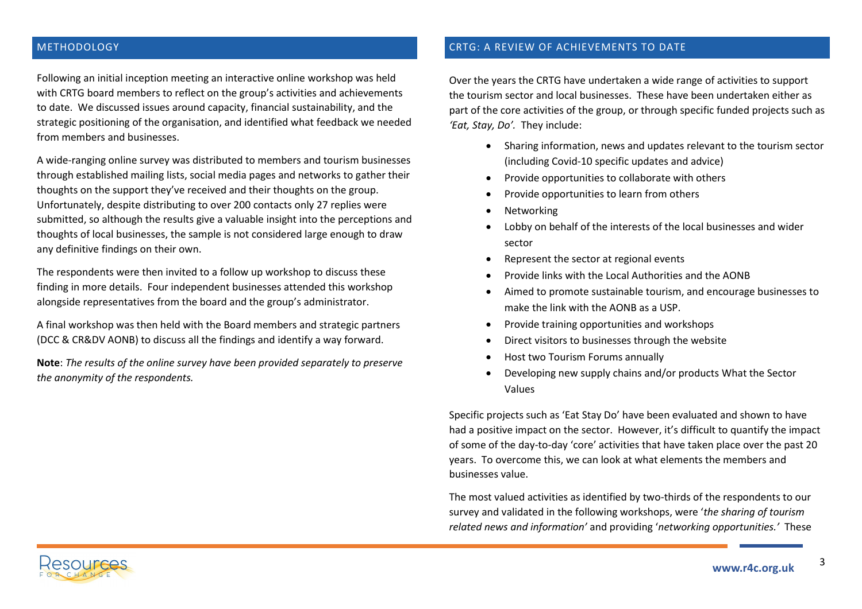## <span id="page-2-0"></span>METHODOLOGY

Following an initial inception meeting an interactive online workshop was held with CRTG board members to reflect on the group's activities and achievements to date. We discussed issues around capacity, financial sustainability, and the strategic positioning of the organisation, and identified what feedback we needed from members and businesses.

A wide-ranging online survey was distributed to members and tourism businesses through established mailing lists, social media pages and networks to gather their thoughts on the support they've received and their thoughts on the group. Unfortunately, despite distributing to over 200 contacts only 27 replies were submitted, so although the results give a valuable insight into the perceptions and thoughts of local businesses, the sample is not considered large enough to draw any definitive findings on their own.

The respondents were then invited to a follow up workshop to discuss these finding in more details. Four independent businesses attended this workshop alongside representatives from the board and the group's administrator.

A final workshop was then held with the Board members and strategic partners (DCC & CR&DV AONB) to discuss all the findings and identify a way forward.

**Note**: *The results of the online survey have been provided separately to preserve the anonymity of the respondents.*

## <span id="page-2-1"></span>CRTG: A REVIEW OF ACHIEVEMENTS TO DATE

Over the years the CRTG have undertaken a wide range of activities to support the tourism sector and local businesses. These have been undertaken either as part of the core activities of the group, or through specific funded projects such as *'Eat, Stay, Do'.* They include:

- Sharing information, news and updates relevant to the tourism sector (including Covid-10 specific updates and advice)
- Provide opportunities to collaborate with others
- Provide opportunities to learn from others
- **Networking**
- Lobby on behalf of the interests of the local businesses and wider sector
- Represent the sector at regional events
- Provide links with the Local Authorities and the AONB
- Aimed to promote sustainable tourism, and encourage businesses to make the link with the AONB as a USP.
- Provide training opportunities and workshops
- Direct visitors to businesses through the website
- Host two Tourism Forums annually
- Developing new supply chains and/or products What the Sector Values

Specific projects such as 'Eat Stay Do' have been evaluated and shown to have had a positive impact on the sector. However, it's difficult to quantify the impact of some of the day-to-day 'core' activities that have taken place over the past 20 years. To overcome this, we can look at what elements the members and businesses value.

The most valued activities as identified by two-thirds of the respondents to our survey and validated in the following workshops, were '*the sharing of tourism related news and information'* and providing '*networking opportunities.'* These

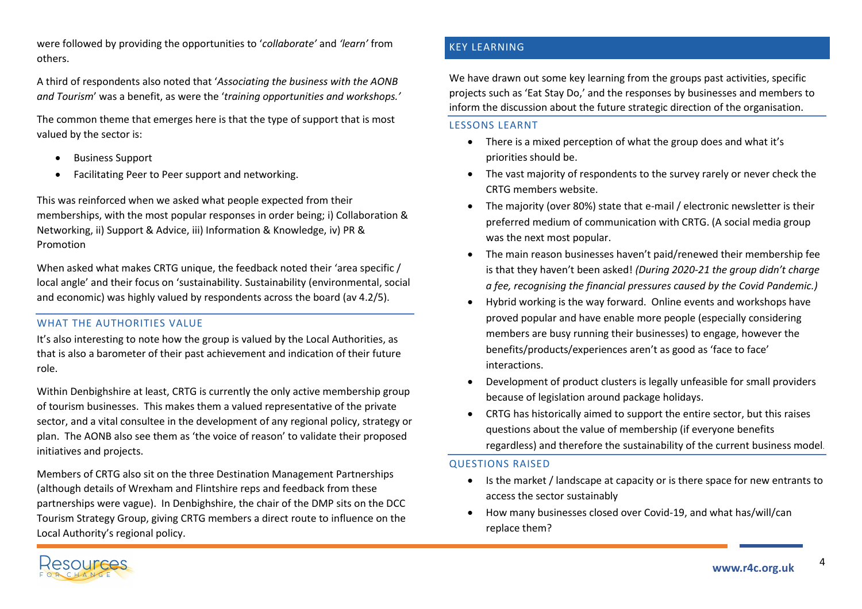were followed by providing the opportunities to '*collaborate'* and *'learn'* from others.

A third of respondents also noted that '*Associating the business with the AONB and Tourism*' was a benefit, as were the '*training opportunities and workshops.'*

The common theme that emerges here is that the type of support that is most valued by the sector is:

- Business Support
- Facilitating Peer to Peer support and networking.

This was reinforced when we asked what people expected from their memberships, with the most popular responses in order being; i) Collaboration & Networking, ii) Support & Advice, iii) Information & Knowledge, iv) PR & Promotion

When asked what makes CRTG unique, the feedback noted their 'area specific / local angle' and their focus on 'sustainability. Sustainability (environmental, social and economic) was highly valued by respondents across the board (av 4.2/5).

# <span id="page-3-0"></span>WHAT THE AUTHORITIES VALUE

It's also interesting to note how the group is valued by the Local Authorities, as that is also a barometer of their past achievement and indication of their future role.

Within Denbighshire at least, CRTG is currently the only active membership group of tourism businesses. This makes them a valued representative of the private sector, and a vital consultee in the development of any regional policy, strategy or plan. The AONB also see them as 'the voice of reason' to validate their proposed initiatives and projects.

Members of CRTG also sit on the three Destination Management Partnerships (although details of Wrexham and Flintshire reps and feedback from these partnerships were vague). In Denbighshire, the chair of the DMP sits on the DCC Tourism Strategy Group, giving CRTG members a direct route to influence on the Local Authority's regional policy.

# <span id="page-3-1"></span>KEY LEARNING

We have drawn out some key learning from the groups past activities, specific projects such as 'Eat Stay Do,' and the responses by businesses and members to inform the discussion about the future strategic direction of the organisation.

### <span id="page-3-2"></span>LESSONS LEARNT

- There is a mixed perception of what the group does and what it's priorities should be.
- The vast majority of respondents to the survey rarely or never check the CRTG members website.
- The majority (over 80%) state that e-mail / electronic newsletter is their preferred medium of communication with CRTG. (A social media group was the next most popular.
- The main reason businesses haven't paid/renewed their membership fee is that they haven't been asked! *(During 2020-21 the group didn't charge a fee, recognising the financial pressures caused by the Covid Pandemic.)*
- Hybrid working is the way forward. Online events and workshops have proved popular and have enable more people (especially considering members are busy running their businesses) to engage, however the benefits/products/experiences aren't as good as 'face to face' interactions.
- Development of product clusters is legally unfeasible for small providers because of legislation around package holidays.
- CRTG has historically aimed to support the entire sector, but this raises questions about the value of membership (if everyone benefits regardless) and therefore the sustainability of the current business model.

# <span id="page-3-3"></span>QUESTIONS RAISED

- Is the market / landscape at capacity or is there space for new entrants to access the sector sustainably
- How many businesses closed over Covid-19, and what has/will/can replace them?

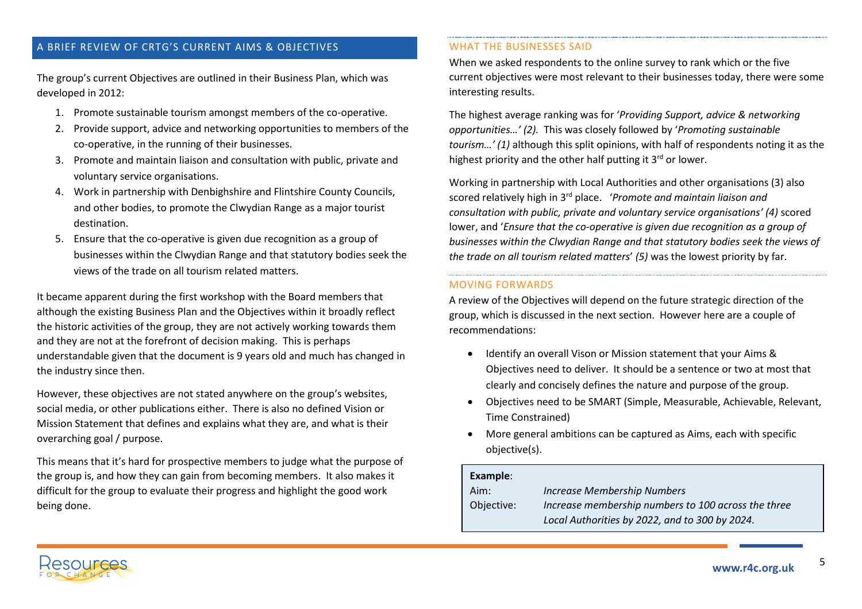# <span id="page-4-0"></span>A BRIEF REVIEW OF CRTG'S CURRENT AIMS & OBJECTIVES

The group's current Objectives are outlined in their Business Plan, which was developed in 2012:

- 1. Promote sustainable tourism amongst members of the co-operative.
- 2. Provide support, advice and networking opportunities to members of the co-operative, in the running of their businesses.
- 3. Promote and maintain liaison and consultation with public, private and voluntary service organisations.
- 4. Work in partnership with Denbighshire and Flintshire County Councils, and other bodies, to promote the Clwydian Range as a major tourist destination.
- 5. Ensure that the co-operative is given due recognition as a group of businesses within the Clwydian Range and that statutory bodies seek the views of the trade on all tourism related matters.

It became apparent during the first workshop with the Board members that although the existing Business Plan and the Objectives within it broadly reflect the historic activities of the group, they are not actively working towards them and they are not at the forefront of decision making. This is perhaps understandable given that the document is 9 years old and much has changed in the industry since then.

However, these objectives are not stated anywhere on the group's websites, social media, or other publications either. There is also no defined Vision or Mission Statement that defines and explains what they are, and what is their overarching goal / purpose.

This means that it's hard for prospective members to judge what the purpose of the group is, and how they can gain from becoming members. It also makes it difficult for the group to evaluate their progress and highlight the good work being done.

### WHAT THE BUSINESSES SAID

When we asked respondents to the online survey to rank which or the five current objectives were most relevant to their businesses today, there were some interesting results.

The highest average ranking was for '*Providing Support, advice & networking opportunities…' (2).* This was closely followed by '*Promoting sustainable tourism…' (1)* although this split opinions, with half of respondents noting it as the highest priority and the other half putting it  $3<sup>rd</sup>$  or lower.

Working in partnership with Local Authorities and other organisations (3) also scored relatively high in 3rd place. '*Promote and maintain liaison and consultation with public, private and voluntary service organisations' (4)* scored lower, and '*Ensure that the co-operative is given due recognition as a group of businesses within the Clwydian Range and that statutory bodies seek the views of the trade on all tourism related matters*' *(5)* was the lowest priority by far.

# MOVING FORWARDS

A review of the Objectives will depend on the future strategic direction of the group, which is discussed in the next section. However here are a couple of recommendations:

- Identify an overall Vison or Mission statement that your Aims & Objectives need to deliver. It should be a sentence or two at most that clearly and concisely defines the nature and purpose of the group.
- Objectives need to be SMART (Simple, Measurable, Achievable, Relevant, Time Constrained)
- More general ambitions can be captured as Aims, each with specific objective(s).

#### **Example**:

| Aim:       | <b>Increase Membership Numbers</b>                  |
|------------|-----------------------------------------------------|
| Objective: | Increase membership numbers to 100 across the three |
|            | Local Authorities by 2022, and to 300 by 2024.      |

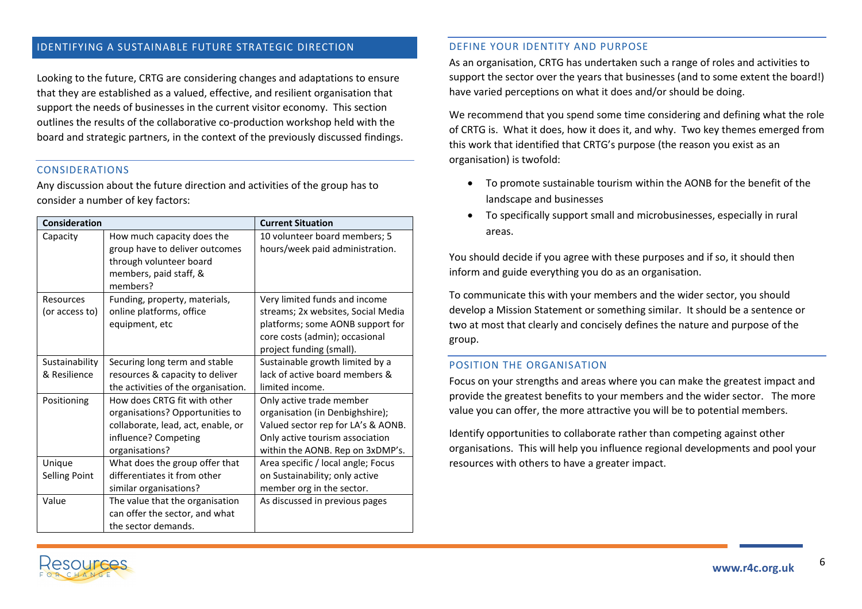## <span id="page-5-0"></span>IDENTIFYING A SUSTAINABLE FUTURE STRATEGIC DIRECTION

Looking to the future, CRTG are considering changes and adaptations to ensure that they are established as a valued, effective, and resilient organisation that support the needs of businesses in the current visitor economy. This section outlines the results of the collaborative co-production workshop held with the board and strategic partners, in the context of the previously discussed findings.

### <span id="page-5-1"></span>CONSIDERATIONS

Any discussion about the future direction and activities of the group has to consider a number of key factors:

| <b>Consideration</b>           |                                                                                                                                                 | <b>Current Situation</b>                                                                                                                                                 |
|--------------------------------|-------------------------------------------------------------------------------------------------------------------------------------------------|--------------------------------------------------------------------------------------------------------------------------------------------------------------------------|
| Capacity                       | How much capacity does the<br>group have to deliver outcomes<br>through volunteer board<br>members, paid staff, &<br>members?                   | 10 volunteer board members; 5<br>hours/week paid administration.                                                                                                         |
| Resources<br>(or access to)    | Funding, property, materials,<br>online platforms, office<br>equipment, etc                                                                     | Very limited funds and income<br>streams; 2x websites, Social Media<br>platforms; some AONB support for<br>core costs (admin); occasional<br>project funding (small).    |
| Sustainability<br>& Resilience | Securing long term and stable<br>resources & capacity to deliver<br>the activities of the organisation.                                         | Sustainable growth limited by a<br>lack of active board members &<br>limited income.                                                                                     |
| Positioning                    | How does CRTG fit with other<br>organisations? Opportunities to<br>collaborate, lead, act, enable, or<br>influence? Competing<br>organisations? | Only active trade member<br>organisation (in Denbighshire);<br>Valued sector rep for LA's & AONB.<br>Only active tourism association<br>within the AONB. Rep on 3xDMP's. |
| Unique<br><b>Selling Point</b> | What does the group offer that<br>differentiates it from other<br>similar organisations?                                                        | Area specific / local angle; Focus<br>on Sustainability; only active<br>member org in the sector.                                                                        |
| Value                          | The value that the organisation<br>can offer the sector, and what<br>the sector demands.                                                        | As discussed in previous pages                                                                                                                                           |

### <span id="page-5-2"></span>DEFINE YOUR IDENTITY AND PURPOSE

As an organisation, CRTG has undertaken such a range of roles and activities to support the sector over the years that businesses (and to some extent the board!) have varied perceptions on what it does and/or should be doing.

We recommend that you spend some time considering and defining what the role of CRTG is. What it does, how it does it, and why. Two key themes emerged from this work that identified that CRTG's purpose (the reason you exist as an organisation) is twofold:

- To promote sustainable tourism within the AONB for the benefit of the landscape and businesses
- To specifically support small and microbusinesses, especially in rural areas.

You should decide if you agree with these purposes and if so, it should then inform and guide everything you do as an organisation.

To communicate this with your members and the wider sector, you should develop a Mission Statement or something similar. It should be a sentence or two at most that clearly and concisely defines the nature and purpose of the group.

#### <span id="page-5-3"></span>POSITION THE ORGANISATION

Focus on your strengths and areas where you can make the greatest impact and provide the greatest benefits to your members and the wider sector. The more value you can offer, the more attractive you will be to potential members.

Identify opportunities to collaborate rather than competing against other organisations. This will help you influence regional developments and pool your resources with others to have a greater impact.

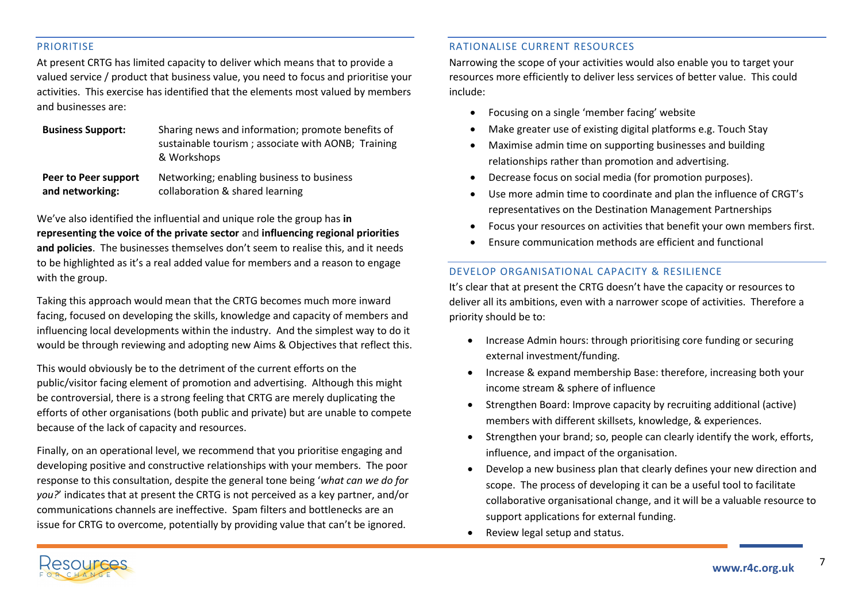### <span id="page-6-0"></span>PRIORITISE

At present CRTG has limited capacity to deliver which means that to provide a valued service / product that business value, you need to focus and prioritise your activities. This exercise has identified that the elements most valued by members and businesses are:

| <b>Business Support:</b> | Sharing news and information; promote benefits of  |  |
|--------------------------|----------------------------------------------------|--|
|                          | sustainable tourism; associate with AONB; Training |  |
|                          | & Workshops                                        |  |
|                          |                                                    |  |

**Peer to Peer support and networking:**  Networking; enabling business to business collaboration & shared learning

We've also identified the influential and unique role the group has **in representing the voice of the private sector** and **influencing regional priorities and policies**. The businesses themselves don't seem to realise this, and it needs to be highlighted as it's a real added value for members and a reason to engage with the group.

Taking this approach would mean that the CRTG becomes much more inward facing, focused on developing the skills, knowledge and capacity of members and influencing local developments within the industry. And the simplest way to do it would be through reviewing and adopting new Aims & Objectives that reflect this.

This would obviously be to the detriment of the current efforts on the public/visitor facing element of promotion and advertising. Although this might be controversial, there is a strong feeling that CRTG are merely duplicating the efforts of other organisations (both public and private) but are unable to compete because of the lack of capacity and resources.

Finally, on an operational level, we recommend that you prioritise engaging and developing positive and constructive relationships with your members. The poor response to this consultation, despite the general tone being '*what can we do for you?*' indicates that at present the CRTG is not perceived as a key partner, and/or communications channels are ineffective. Spam filters and bottlenecks are an issue for CRTG to overcome, potentially by providing value that can't be ignored.

### <span id="page-6-1"></span>RATIONALISE CURRENT RESOURCES

Narrowing the scope of your activities would also enable you to target your resources more efficiently to deliver less services of better value. This could include:

- Focusing on a single 'member facing' website
- Make greater use of existing digital platforms e.g. Touch Stay
- Maximise admin time on supporting businesses and building relationships rather than promotion and advertising.
- Decrease focus on social media (for promotion purposes).
- Use more admin time to coordinate and plan the influence of CRGT's representatives on the Destination Management Partnerships
- Focus your resources on activities that benefit your own members first.
- Ensure communication methods are efficient and functional

# <span id="page-6-2"></span>DEVELOP ORGANISATIONAL CAPACITY & RESILIENCE

It's clear that at present the CRTG doesn't have the capacity or resources to deliver all its ambitions, even with a narrower scope of activities. Therefore a priority should be to:

- Increase Admin hours: through prioritising core funding or securing external investment/funding.
- Increase & expand membership Base: therefore, increasing both your income stream & sphere of influence
- Strengthen Board: Improve capacity by recruiting additional (active) members with different skillsets, knowledge, & experiences.
- Strengthen your brand; so, people can clearly identify the work, efforts, influence, and impact of the organisation.
- Develop a new business plan that clearly defines your new direction and scope. The process of developing it can be a useful tool to facilitate collaborative organisational change, and it will be a valuable resource to support applications for external funding.
- Review legal setup and status.

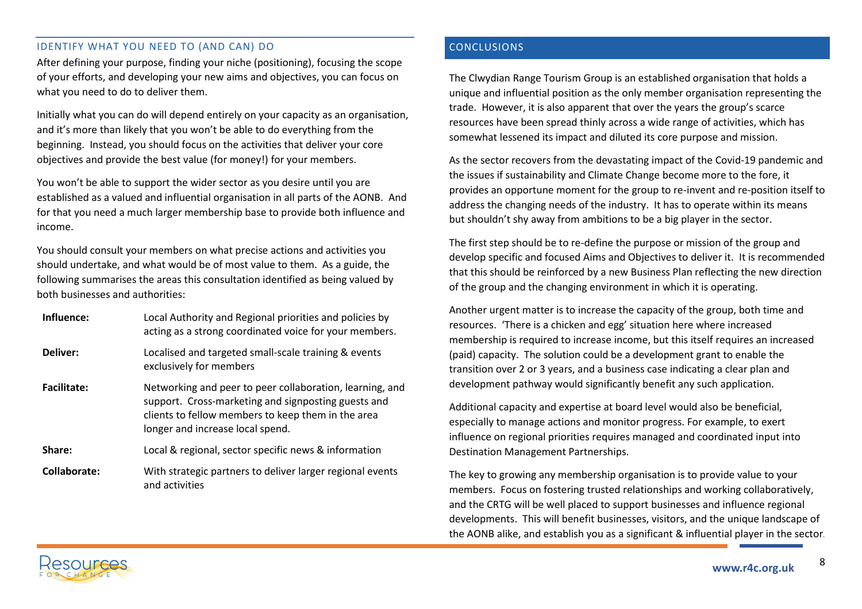# <span id="page-7-0"></span>IDENTIFY WHAT YOU NEED TO (AND CAN) DO

After defining your purpose, finding your niche (positioning), focusing the scope of your efforts, and developing your new aims and objectives, you can focus on what you need to do to deliver them.

Initially what you can do will depend entirely on your capacity as an organisation, and it's more than likely that you won't be able to do everything from the beginning. Instead, you should focus on the activities that deliver your core objectives and provide the best value (for money!) for your members.

You won't be able to support the wider sector as you desire until you are established as a valued and influential organisation in all parts of the AONB. And for that you need a much larger membership base to provide both influence and income.

You should consult your members on what precise actions and activities you should undertake, and what would be of most value to them. As a guide, the following summarises the areas this consultation identified as being valued by both businesses and authorities:

**Influence:** Local Authority and Regional priorities and policies by acting as a strong coordinated voice for your members. **Deliver:** Localised and targeted small-scale training & events exclusively for members **Facilitate:** Networking and peer to peer collaboration, learning, and support. Cross-marketing and signposting guests and clients to fellow members to keep them in the area longer and increase local spend. **Share:** Local & regional, sector specific news & information **Collaborate:** With strategic partners to deliver larger regional events and activities

# <span id="page-7-1"></span>CONCLUSIONS

The Clwydian Range Tourism Group is an established organisation that holds a unique and influential position as the only member organisation representing the trade. However, it is also apparent that over the years the group's scarce resources have been spread thinly across a wide range of activities, which has somewhat lessened its impact and diluted its core purpose and mission.

As the sector recovers from the devastating impact of the Covid-19 pandemic and the issues if sustainability and Climate Change become more to the fore, it provides an opportune moment for the group to re-invent and re-position itself to address the changing needs of the industry. It has to operate within its means but shouldn't shy away from ambitions to be a big player in the sector.

The first step should be to re-define the purpose or mission of the group and develop specific and focused Aims and Objectives to deliver it. It is recommended that this should be reinforced by a new Business Plan reflecting the new direction of the group and the changing environment in which it is operating.

Another urgent matter is to increase the capacity of the group, both time and resources. 'There is a chicken and egg' situation here where increased membership is required to increase income, but this itself requires an increased (paid) capacity. The solution could be a development grant to enable the transition over 2 or 3 years, and a business case indicating a clear plan and development pathway would significantly benefit any such application.

Additional capacity and expertise at board level would also be beneficial, especially to manage actions and monitor progress. For example, to exert influence on regional priorities requires managed and coordinated input into Destination Management Partnerships.

The key to growing any membership organisation is to provide value to your members. Focus on fostering trusted relationships and working collaboratively, and the CRTG will be well placed to support businesses and influence regional developments. This will benefit businesses, visitors, and the unique landscape of the AONB alike, and establish you as a significant & influential player in the sector.